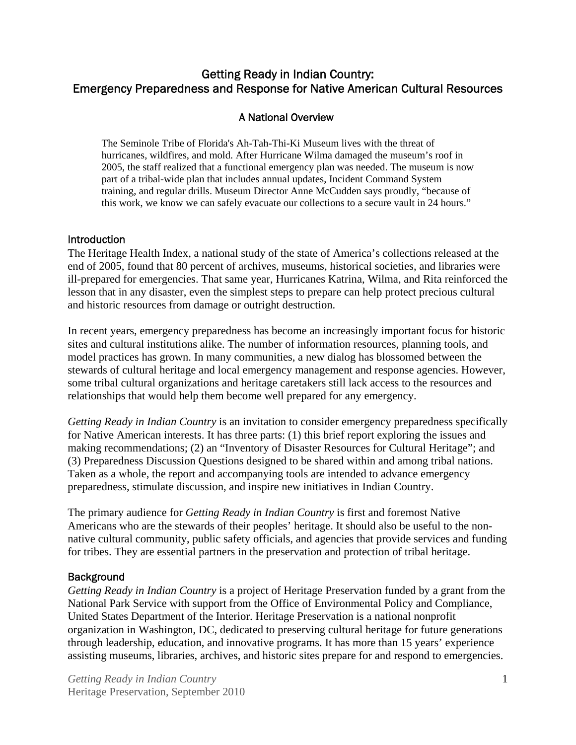## Getting Ready in Indian Country: Emergency Preparedness and Response for Native American Cultural Resources

## A National Overview

The Seminole Tribe of Florida's Ah-Tah-Thi-Ki Museum lives with the threat of hurricanes, wildfires, and mold. After Hurricane Wilma damaged the museum's roof in 2005, the staff realized that a functional emergency plan was needed. The museum is now part of a tribal-wide plan that includes annual updates, Incident Command System training, and regular drills. Museum Director Anne McCudden says proudly, "because of this work, we know we can safely evacuate our collections to a secure vault in 24 hours."

#### **Introduction**

The Heritage Health Index, a national study of the state of America's collections released at the end of 2005, found that 80 percent of archives, museums, historical societies, and libraries were ill-prepared for emergencies. That same year, Hurricanes Katrina, Wilma, and Rita reinforced the lesson that in any disaster, even the simplest steps to prepare can help protect precious cultural and historic resources from damage or outright destruction.

In recent years, emergency preparedness has become an increasingly important focus for historic sites and cultural institutions alike. The number of information resources, planning tools, and model practices has grown. In many communities, a new dialog has blossomed between the stewards of cultural heritage and local emergency management and response agencies. However, some tribal cultural organizations and heritage caretakers still lack access to the resources and relationships that would help them become well prepared for any emergency.

*Getting Ready in Indian Country* is an invitation to consider emergency preparedness specifically for Native American interests. It has three parts: (1) this brief report exploring the issues and making recommendations; (2) an "Inventory of Disaster Resources for Cultural Heritage"; and (3) Preparedness Discussion Questions designed to be shared within and among tribal nations. Taken as a whole, the report and accompanying tools are intended to advance emergency preparedness, stimulate discussion, and inspire new initiatives in Indian Country.

The primary audience for *Getting Ready in Indian Country* is first and foremost Native Americans who are the stewards of their peoples' heritage. It should also be useful to the nonnative cultural community, public safety officials, and agencies that provide services and funding for tribes. They are essential partners in the preservation and protection of tribal heritage.

## **Background**

*Getting Ready in Indian Country* is a project of Heritage Preservation funded by a grant from the National Park Service with support from the Office of Environmental Policy and Compliance, United States Department of the Interior. Heritage Preservation is a national nonprofit organization in Washington, DC, dedicated to preserving cultural heritage for future generations through leadership, education, and innovative programs. It has more than 15 years' experience assisting museums, libraries, archives, and historic sites prepare for and respond to emergencies.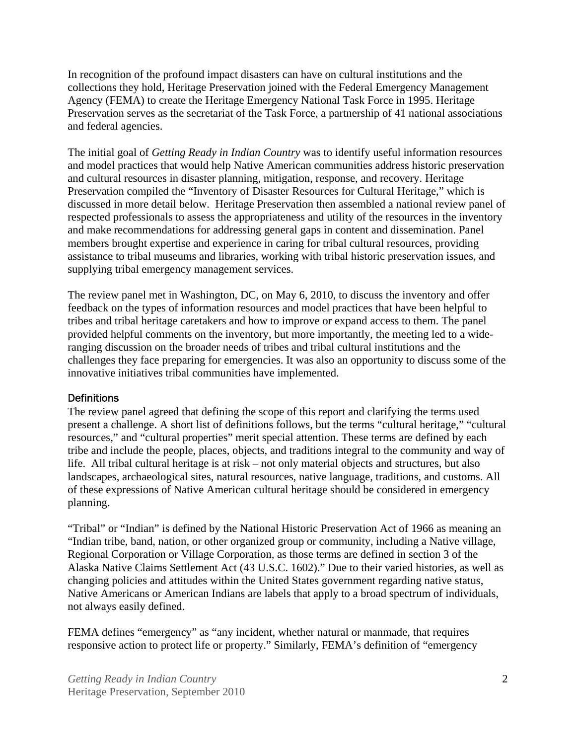In recognition of the profound impact disasters can have on cultural institutions and the collections they hold, Heritage Preservation joined with the Federal Emergency Management Agency (FEMA) to create the Heritage Emergency National Task Force in 1995. Heritage Preservation serves as the secretariat of the Task Force, a partnership of 41 national associations and federal agencies.

The initial goal of *Getting Ready in Indian Country* was to identify useful information resources and model practices that would help Native American communities address historic preservation and cultural resources in disaster planning, mitigation, response, and recovery. Heritage Preservation compiled the "Inventory of Disaster Resources for Cultural Heritage," which is discussed in more detail below. Heritage Preservation then assembled a national review panel of respected professionals to assess the appropriateness and utility of the resources in the inventory and make recommendations for addressing general gaps in content and dissemination. Panel members brought expertise and experience in caring for tribal cultural resources, providing assistance to tribal museums and libraries, working with tribal historic preservation issues, and supplying tribal emergency management services.

The review panel met in Washington, DC, on May 6, 2010, to discuss the inventory and offer feedback on the types of information resources and model practices that have been helpful to tribes and tribal heritage caretakers and how to improve or expand access to them. The panel provided helpful comments on the inventory, but more importantly, the meeting led to a wideranging discussion on the broader needs of tribes and tribal cultural institutions and the challenges they face preparing for emergencies. It was also an opportunity to discuss some of the innovative initiatives tribal communities have implemented.

#### **Definitions**

The review panel agreed that defining the scope of this report and clarifying the terms used present a challenge. A short list of definitions follows, but the terms "cultural heritage," "cultural resources," and "cultural properties" merit special attention. These terms are defined by each tribe and include the people, places, objects, and traditions integral to the community and way of life. All tribal cultural heritage is at risk – not only material objects and structures, but also landscapes, archaeological sites, natural resources, native language, traditions, and customs. All of these expressions of Native American cultural heritage should be considered in emergency planning.

"Tribal" or "Indian" is defined by the National Historic Preservation Act of 1966 as meaning an "Indian tribe, band, nation, or other organized group or community, including a Native village, Regional Corporation or Village Corporation, as those terms are defined in section 3 of the Alaska Native Claims Settlement Act (43 U.S.C. 1602)." Due to their varied histories, as well as changing policies and attitudes within the United States government regarding native status, Native Americans or American Indians are labels that apply to a broad spectrum of individuals, not always easily defined.

FEMA defines "emergency" as "any incident, whether natural or manmade, that requires responsive action to protect life or property." Similarly, FEMA's definition of "emergency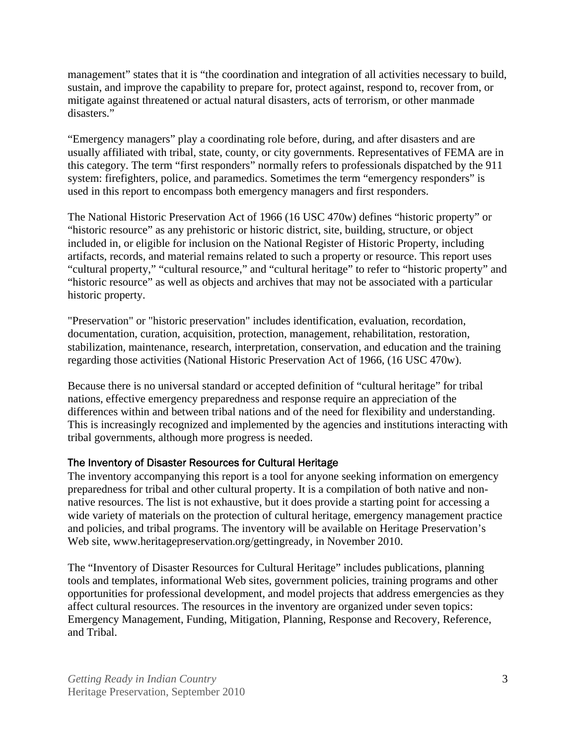management" states that it is "the coordination and integration of all activities necessary to build, sustain, and improve the capability to prepare for, protect against, respond to, recover from, or mitigate against threatened or actual natural disasters, acts of terrorism, or other manmade disasters."

"Emergency managers" play a coordinating role before, during, and after disasters and are usually affiliated with tribal, state, county, or city governments. Representatives of FEMA are in this category. The term "first responders" normally refers to professionals dispatched by the 911 system: firefighters, police, and paramedics. Sometimes the term "emergency responders" is used in this report to encompass both emergency managers and first responders.

The National Historic Preservation Act of 1966 (16 USC 470w) defines "historic property" or "historic resource" as any prehistoric or historic district, site, building, structure, or object included in, or eligible for inclusion on the National Register of Historic Property, including artifacts, records, and material remains related to such a property or resource. This report uses "cultural property," "cultural resource," and "cultural heritage" to refer to "historic property" and "historic resource" as well as objects and archives that may not be associated with a particular historic property.

"Preservation" or "historic preservation" includes identification, evaluation, recordation, documentation, curation, acquisition, protection, management, rehabilitation, restoration, stabilization, maintenance, research, interpretation, conservation, and education and the training regarding those activities (National Historic Preservation Act of 1966, (16 USC 470w).

Because there is no universal standard or accepted definition of "cultural heritage" for tribal nations, effective emergency preparedness and response require an appreciation of the differences within and between tribal nations and of the need for flexibility and understanding. This is increasingly recognized and implemented by the agencies and institutions interacting with tribal governments, although more progress is needed.

## The Inventory of Disaster Resources for Cultural Heritage

The inventory accompanying this report is a tool for anyone seeking information on emergency preparedness for tribal and other cultural property. It is a compilation of both native and nonnative resources. The list is not exhaustive, but it does provide a starting point for accessing a wide variety of materials on the protection of cultural heritage, emergency management practice and policies, and tribal programs. The inventory will be available on Heritage Preservation's Web site, www.heritagepreservation.org/gettingready, in November 2010.

The "Inventory of Disaster Resources for Cultural Heritage" includes publications, planning tools and templates, informational Web sites, government policies, training programs and other opportunities for professional development, and model projects that address emergencies as they affect cultural resources. The resources in the inventory are organized under seven topics: Emergency Management, Funding, Mitigation, Planning, Response and Recovery, Reference, and Tribal.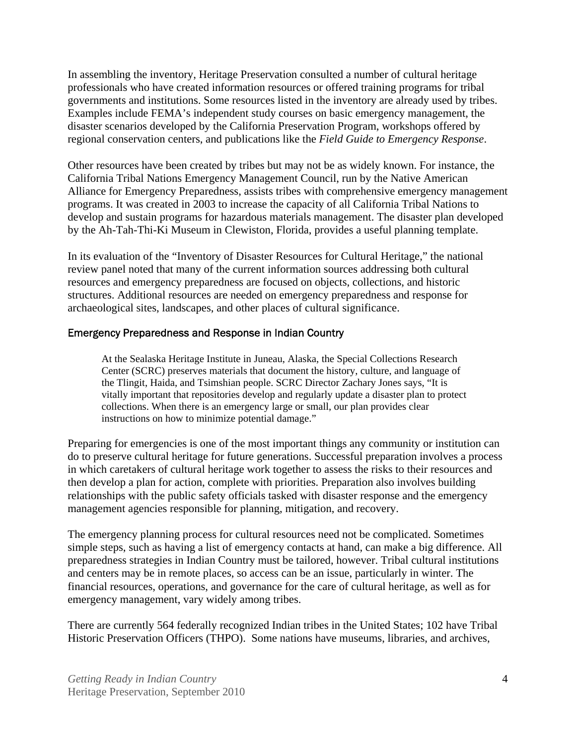In assembling the inventory, Heritage Preservation consulted a number of cultural heritage professionals who have created information resources or offered training programs for tribal governments and institutions. Some resources listed in the inventory are already used by tribes. Examples include FEMA's independent study courses on basic emergency management, the disaster scenarios developed by the California Preservation Program, workshops offered by regional conservation centers, and publications like the *Field Guide to Emergency Response*.

Other resources have been created by tribes but may not be as widely known. For instance, the California Tribal Nations Emergency Management Council, run by the Native American Alliance for Emergency Preparedness, assists tribes with comprehensive emergency management programs. It was created in 2003 to increase the capacity of all California Tribal Nations to develop and sustain programs for hazardous materials management. The disaster plan developed by the Ah-Tah-Thi-Ki Museum in Clewiston, Florida, provides a useful planning template.

In its evaluation of the "Inventory of Disaster Resources for Cultural Heritage," the national review panel noted that many of the current information sources addressing both cultural resources and emergency preparedness are focused on objects, collections, and historic structures. Additional resources are needed on emergency preparedness and response for archaeological sites, landscapes, and other places of cultural significance.

#### Emergency Preparedness and Response in Indian Country

At the Sealaska Heritage Institute in Juneau, Alaska, the Special Collections Research Center (SCRC) preserves materials that document the history, culture, and language of the Tlingit, Haida, and Tsimshian people. SCRC Director Zachary Jones says, "It is vitally important that repositories develop and regularly update a disaster plan to protect collections. When there is an emergency large or small, our plan provides clear instructions on how to minimize potential damage."

Preparing for emergencies is one of the most important things any community or institution can do to preserve cultural heritage for future generations. Successful preparation involves a process in which caretakers of cultural heritage work together to assess the risks to their resources and then develop a plan for action, complete with priorities. Preparation also involves building relationships with the public safety officials tasked with disaster response and the emergency management agencies responsible for planning, mitigation, and recovery.

The emergency planning process for cultural resources need not be complicated. Sometimes simple steps, such as having a list of emergency contacts at hand, can make a big difference. All preparedness strategies in Indian Country must be tailored, however. Tribal cultural institutions and centers may be in remote places, so access can be an issue, particularly in winter. The financial resources, operations, and governance for the care of cultural heritage, as well as for emergency management, vary widely among tribes.

There are currently 564 federally recognized Indian tribes in the United States; 102 have Tribal Historic Preservation Officers (THPO). Some nations have museums, libraries, and archives,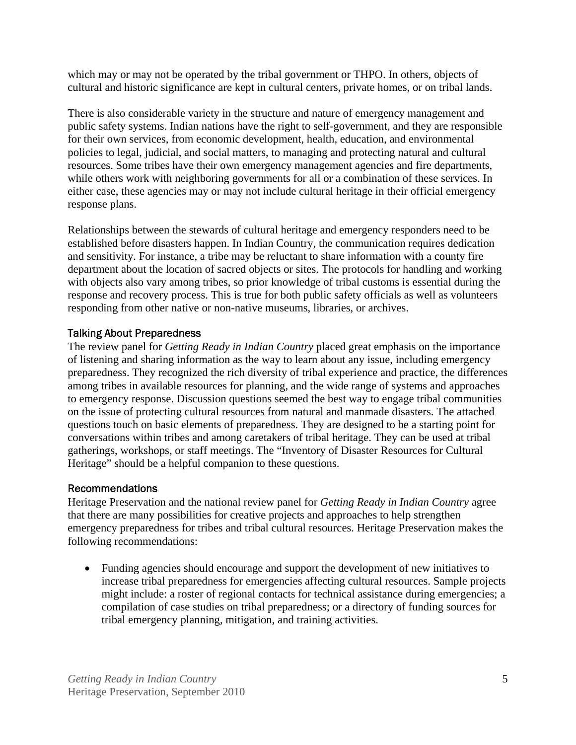which may or may not be operated by the tribal government or THPO. In others, objects of cultural and historic significance are kept in cultural centers, private homes, or on tribal lands.

There is also considerable variety in the structure and nature of emergency management and public safety systems. Indian nations have the right to self-government, and they are responsible for their own services, from economic development, health, education, and environmental policies to legal, judicial, and social matters, to managing and protecting natural and cultural resources. Some tribes have their own emergency management agencies and fire departments, while others work with neighboring governments for all or a combination of these services. In either case, these agencies may or may not include cultural heritage in their official emergency response plans.

Relationships between the stewards of cultural heritage and emergency responders need to be established before disasters happen. In Indian Country, the communication requires dedication and sensitivity. For instance, a tribe may be reluctant to share information with a county fire department about the location of sacred objects or sites. The protocols for handling and working with objects also vary among tribes, so prior knowledge of tribal customs is essential during the response and recovery process. This is true for both public safety officials as well as volunteers responding from other native or non-native museums, libraries, or archives.

## Talking About Preparedness

The review panel for *Getting Ready in Indian Country* placed great emphasis on the importance of listening and sharing information as the way to learn about any issue, including emergency preparedness. They recognized the rich diversity of tribal experience and practice, the differences among tribes in available resources for planning, and the wide range of systems and approaches to emergency response. Discussion questions seemed the best way to engage tribal communities on the issue of protecting cultural resources from natural and manmade disasters. The attached questions touch on basic elements of preparedness. They are designed to be a starting point for conversations within tribes and among caretakers of tribal heritage. They can be used at tribal gatherings, workshops, or staff meetings. The "Inventory of Disaster Resources for Cultural Heritage" should be a helpful companion to these questions.

#### Recommendations

Heritage Preservation and the national review panel for *Getting Ready in Indian Country* agree that there are many possibilities for creative projects and approaches to help strengthen emergency preparedness for tribes and tribal cultural resources. Heritage Preservation makes the following recommendations:

• Funding agencies should encourage and support the development of new initiatives to increase tribal preparedness for emergencies affecting cultural resources. Sample projects might include: a roster of regional contacts for technical assistance during emergencies; a compilation of case studies on tribal preparedness; or a directory of funding sources for tribal emergency planning, mitigation, and training activities.